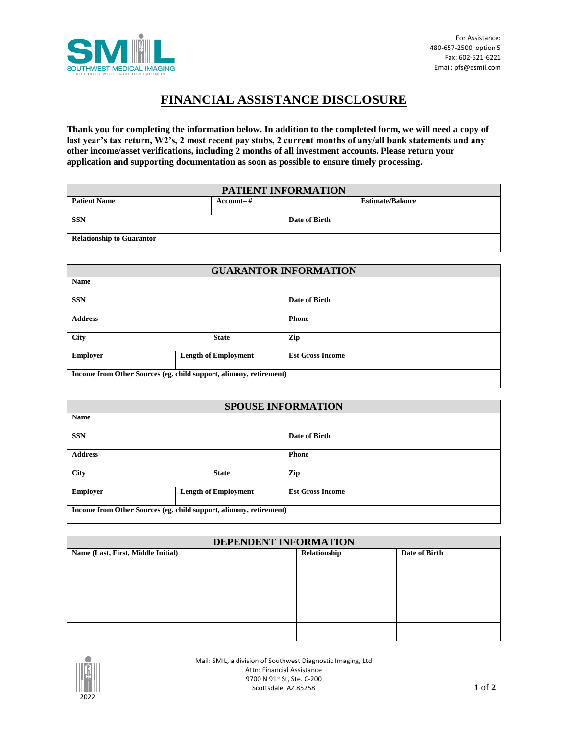

## **FINANCIAL ASSISTANCE DISCLOSURE**

**Thank you for completing the information below. In addition to the completed form, we will need a copy of last year's tax return, W2's, 2 most recent pay stubs, 2 current months of any/all bank statements and any other income/asset verifications, including 2 months of all investment accounts. Please return your application and supporting documentation as soon as possible to ensure timely processing.** 

| PATIENT INFORMATION              |               |               |                         |
|----------------------------------|---------------|---------------|-------------------------|
| <b>Patient Name</b>              | $Account - #$ |               | <b>Estimate/Balance</b> |
|                                  |               |               |                         |
| <b>SSN</b>                       |               | Date of Birth |                         |
|                                  |               |               |                         |
| <b>Relationship to Guarantor</b> |               |               |                         |
|                                  |               |               |                         |

| <b>GUARANTOR INFORMATION</b>                                       |                             |                         |
|--------------------------------------------------------------------|-----------------------------|-------------------------|
| <b>Name</b>                                                        |                             |                         |
| <b>SSN</b>                                                         |                             | Date of Birth           |
| <b>Address</b>                                                     |                             | <b>Phone</b>            |
| <b>City</b>                                                        | <b>State</b>                | Zip                     |
| <b>Employer</b>                                                    | <b>Length of Employment</b> | <b>Est Gross Income</b> |
| Income from Other Sources (eg. child support, alimony, retirement) |                             |                         |

| <b>SPOUSE INFORMATION</b>                                          |                             |                         |
|--------------------------------------------------------------------|-----------------------------|-------------------------|
| <b>Name</b>                                                        |                             |                         |
| <b>SSN</b>                                                         |                             | Date of Birth           |
| <b>Address</b>                                                     |                             | <b>Phone</b>            |
| <b>City</b>                                                        | <b>State</b>                | Zip                     |
| <b>Employer</b>                                                    | <b>Length of Employment</b> | <b>Est Gross Income</b> |
| Income from Other Sources (eg. child support, alimony, retirement) |                             |                         |

| DEPENDENT INFORMATION              |              |               |
|------------------------------------|--------------|---------------|
| Name (Last, First, Middle Initial) | Relationship | Date of Birth |
|                                    |              |               |
|                                    |              |               |
|                                    |              |               |
|                                    |              |               |
|                                    |              |               |



Mail: SMIL, a division of Southwest Diagnostic Imaging, Ltd Attn: Financial Assistance 9700 N 91st St, Ste. C-200 Scottsdale, AZ 85258 **1** of **2**